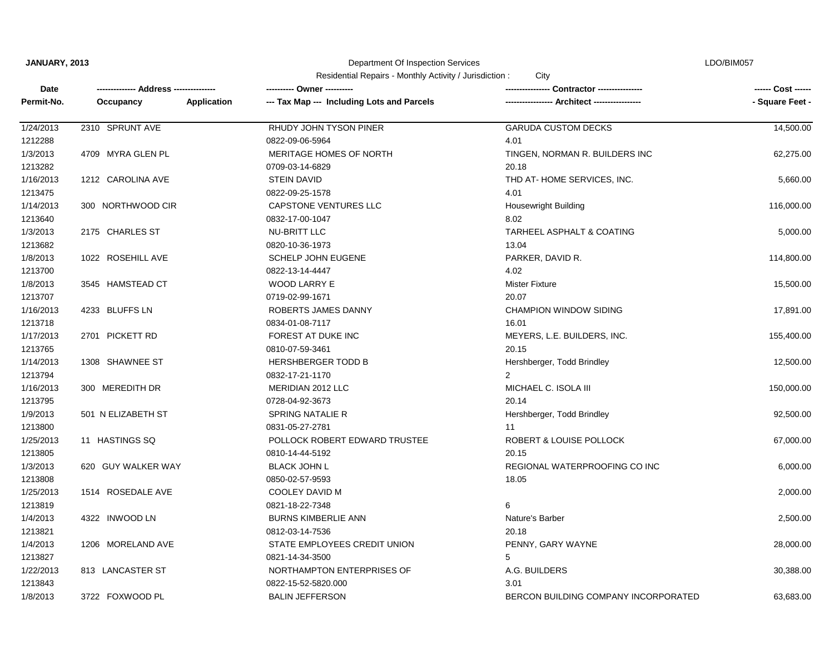Department Of Inspection Services

LDO/BIM057

| Date       |                    | ---------- Owner ----------                               |                                             | ------ Cost ------ |
|------------|--------------------|-----------------------------------------------------------|---------------------------------------------|--------------------|
| Permit-No. | Occupancy          | --- Tax Map --- Including Lots and Parcels<br>Application | ---------------- Architect ---------------- | - Square Feet -    |
| 1/24/2013  | 2310 SPRUNT AVE    | RHUDY JOHN TYSON PINER                                    | <b>GARUDA CUSTOM DECKS</b>                  | 14,500.00          |
| 1212288    |                    | 0822-09-06-5964                                           | 4.01                                        |                    |
| 1/3/2013   | 4709 MYRA GLEN PL  | MERITAGE HOMES OF NORTH                                   | TINGEN, NORMAN R. BUILDERS INC              | 62,275.00          |
| 1213282    |                    | 0709-03-14-6829                                           | 20.18                                       |                    |
| 1/16/2013  | 1212 CAROLINA AVE  | <b>STEIN DAVID</b>                                        | THD AT-HOME SERVICES, INC.                  | 5,660.00           |
| 1213475    |                    | 0822-09-25-1578                                           | 4.01                                        |                    |
| 1/14/2013  | 300 NORTHWOOD CIR  | CAPSTONE VENTURES LLC                                     | <b>Housewright Building</b>                 | 116,000.00         |
| 1213640    |                    | 0832-17-00-1047                                           | 8.02                                        |                    |
| 1/3/2013   | 2175 CHARLES ST    | <b>NU-BRITT LLC</b>                                       | <b>TARHEEL ASPHALT &amp; COATING</b>        | 5,000.00           |
| 1213682    |                    | 0820-10-36-1973                                           | 13.04                                       |                    |
| 1/8/2013   | 1022 ROSEHILL AVE  | <b>SCHELP JOHN EUGENE</b>                                 | PARKER, DAVID R.                            | 114,800.00         |
| 1213700    |                    | 0822-13-14-4447                                           | 4.02                                        |                    |
| 1/8/2013   | 3545 HAMSTEAD CT   | WOOD LARRY E                                              | <b>Mister Fixture</b>                       | 15,500.00          |
| 1213707    |                    | 0719-02-99-1671                                           | 20.07                                       |                    |
| 1/16/2013  | 4233 BLUFFS LN     | ROBERTS JAMES DANNY                                       | <b>CHAMPION WINDOW SIDING</b>               | 17,891.00          |
| 1213718    |                    | 0834-01-08-7117                                           | 16.01                                       |                    |
| 1/17/2013  | 2701 PICKETT RD    | FOREST AT DUKE INC                                        | MEYERS, L.E. BUILDERS, INC.                 | 155,400.00         |
| 1213765    |                    | 0810-07-59-3461                                           | 20.15                                       |                    |
| 1/14/2013  | 1308 SHAWNEE ST    | <b>HERSHBERGER TODD B</b>                                 | Hershberger, Todd Brindley                  | 12,500.00          |
| 1213794    |                    | 0832-17-21-1170                                           | $\overline{2}$                              |                    |
| 1/16/2013  | 300 MEREDITH DR    | MERIDIAN 2012 LLC                                         | MICHAEL C. ISOLA III                        | 150,000.00         |
| 1213795    |                    | 0728-04-92-3673                                           | 20.14                                       |                    |
| 1/9/2013   | 501 N ELIZABETH ST | SPRING NATALIE R                                          | Hershberger, Todd Brindley                  | 92,500.00          |
| 1213800    |                    | 0831-05-27-2781                                           | 11                                          |                    |
| 1/25/2013  | 11 HASTINGS SQ     | POLLOCK ROBERT EDWARD TRUSTEE                             | <b>ROBERT &amp; LOUISE POLLOCK</b>          | 67,000.00          |
| 1213805    |                    | 0810-14-44-5192                                           | 20.15                                       |                    |
| 1/3/2013   | 620 GUY WALKER WAY | <b>BLACK JOHN L</b>                                       | REGIONAL WATERPROOFING CO INC               | 6,000.00           |
| 1213808    |                    | 0850-02-57-9593                                           | 18.05                                       |                    |
| 1/25/2013  | 1514 ROSEDALE AVE  | COOLEY DAVID M                                            |                                             | 2,000.00           |
| 1213819    |                    | 0821-18-22-7348                                           | 6                                           |                    |
| 1/4/2013   | 4322 INWOOD LN     | <b>BURNS KIMBERLIE ANN</b>                                | Nature's Barber                             | 2,500.00           |
| 1213821    |                    | 0812-03-14-7536                                           | 20.18                                       |                    |
| 1/4/2013   | 1206 MORELAND AVE  | STATE EMPLOYEES CREDIT UNION                              | PENNY, GARY WAYNE                           | 28,000.00          |
| 1213827    |                    | 0821-14-34-3500                                           | 5                                           |                    |
| 1/22/2013  | 813 LANCASTER ST   | NORTHAMPTON ENTERPRISES OF                                | A.G. BUILDERS                               | 30,388.00          |
| 1213843    |                    | 0822-15-52-5820.000                                       | 3.01                                        |                    |
| 1/8/2013   | 3722 FOXWOOD PL    | <b>BALIN JEFFERSON</b>                                    | BERCON BUILDING COMPANY INCORPORATED        | 63,683.00          |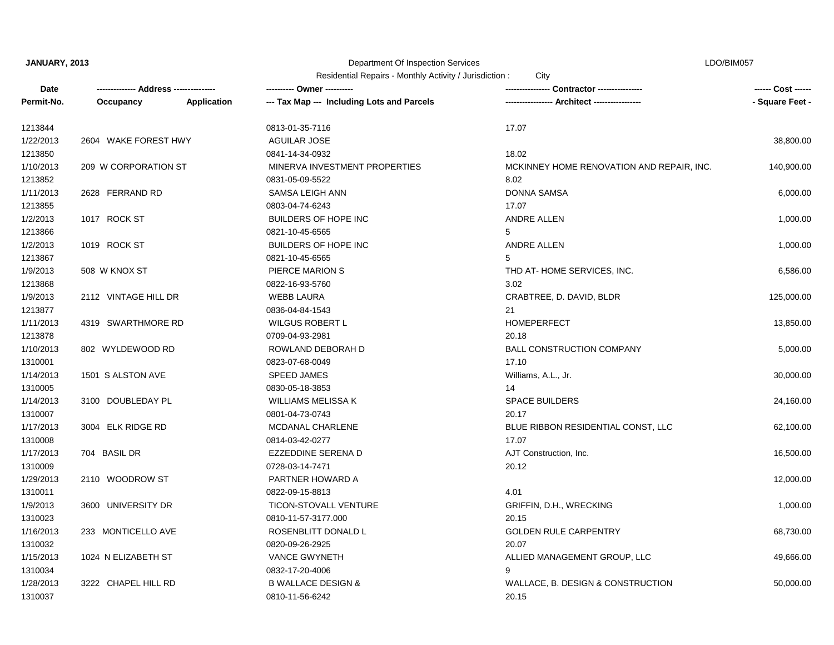Department Of Inspection Services

LDO/BIM057

| Residential Repairs - Monthly Activity / Jurisdiction: | City |
|--------------------------------------------------------|------|
|--------------------------------------------------------|------|

| Date       |                      |             | ---------- Owner ----------                |                                           | ------ Cost ------ |
|------------|----------------------|-------------|--------------------------------------------|-------------------------------------------|--------------------|
| Permit-No. | Occupancy            | Application | --- Tax Map --- Including Lots and Parcels | --- Architect -------------               | - Square Feet -    |
| 1213844    |                      |             | 0813-01-35-7116                            | 17.07                                     |                    |
| 1/22/2013  | 2604 WAKE FOREST HWY |             | <b>AGUILAR JOSE</b>                        |                                           | 38,800.00          |
| 1213850    |                      |             | 0841-14-34-0932                            | 18.02                                     |                    |
| 1/10/2013  | 209 W CORPORATION ST |             | MINERVA INVESTMENT PROPERTIES              | MCKINNEY HOME RENOVATION AND REPAIR, INC. | 140,900.00         |
| 1213852    |                      |             | 0831-05-09-5522                            | 8.02                                      |                    |
| 1/11/2013  | 2628 FERRAND RD      |             | <b>SAMSA LEIGH ANN</b>                     | <b>DONNA SAMSA</b>                        | 6,000.00           |
| 1213855    |                      |             | 0803-04-74-6243                            | 17.07                                     |                    |
| 1/2/2013   | 1017 ROCK ST         |             | <b>BUILDERS OF HOPE INC</b>                | ANDRE ALLEN                               | 1,000.00           |
| 1213866    |                      |             | 0821-10-45-6565                            | 5                                         |                    |
| 1/2/2013   | 1019 ROCK ST         |             | <b>BUILDERS OF HOPE INC</b>                | ANDRE ALLEN                               | 1,000.00           |
| 1213867    |                      |             | 0821-10-45-6565                            | 5                                         |                    |
| 1/9/2013   | 508 W KNOX ST        |             | PIERCE MARION S                            | THD AT-HOME SERVICES, INC.                | 6,586.00           |
| 1213868    |                      |             | 0822-16-93-5760                            | 3.02                                      |                    |
| 1/9/2013   | 2112 VINTAGE HILL DR |             | <b>WEBB LAURA</b>                          | CRABTREE, D. DAVID, BLDR                  | 125,000.00         |
| 1213877    |                      |             | 0836-04-84-1543                            | 21                                        |                    |
| 1/11/2013  | 4319 SWARTHMORE RD   |             | <b>WILGUS ROBERT L</b>                     | <b>HOMEPERFECT</b>                        | 13,850.00          |
| 1213878    |                      |             | 0709-04-93-2981                            | 20.18                                     |                    |
| 1/10/2013  | 802 WYLDEWOOD RD     |             | ROWLAND DEBORAH D                          | <b>BALL CONSTRUCTION COMPANY</b>          | 5,000.00           |
| 1310001    |                      |             | 0823-07-68-0049                            | 17.10                                     |                    |
| 1/14/2013  | 1501 S ALSTON AVE    |             | <b>SPEED JAMES</b>                         | Williams, A.L., Jr.                       | 30,000.00          |
| 1310005    |                      |             | 0830-05-18-3853                            | 14                                        |                    |
| 1/14/2013  | 3100 DOUBLEDAY PL    |             | <b>WILLIAMS MELISSA K</b>                  | <b>SPACE BUILDERS</b>                     | 24,160.00          |
| 1310007    |                      |             | 0801-04-73-0743                            | 20.17                                     |                    |
| 1/17/2013  | 3004 ELK RIDGE RD    |             | MCDANAL CHARLENE                           | BLUE RIBBON RESIDENTIAL CONST, LLC        | 62,100.00          |
| 1310008    |                      |             | 0814-03-42-0277                            | 17.07                                     |                    |
| 1/17/2013  | 704 BASIL DR         |             | EZZEDDINE SERENA D                         | AJT Construction, Inc.                    | 16,500.00          |
| 1310009    |                      |             | 0728-03-14-7471                            | 20.12                                     |                    |
| 1/29/2013  | 2110 WOODROW ST      |             | PARTNER HOWARD A                           |                                           | 12,000.00          |
| 1310011    |                      |             | 0822-09-15-8813                            | 4.01                                      |                    |
| 1/9/2013   | 3600 UNIVERSITY DR   |             | <b>TICON-STOVALL VENTURE</b>               | GRIFFIN, D.H., WRECKING                   | 1,000.00           |
| 1310023    |                      |             | 0810-11-57-3177.000                        | 20.15                                     |                    |
| 1/16/2013  | 233 MONTICELLO AVE   |             | ROSENBLITT DONALD L                        | <b>GOLDEN RULE CARPENTRY</b>              | 68,730.00          |
| 1310032    |                      |             | 0820-09-26-2925                            | 20.07                                     |                    |
| 1/15/2013  | 1024 N ELIZABETH ST  |             | <b>VANCE GWYNETH</b>                       | ALLIED MANAGEMENT GROUP, LLC              | 49,666.00          |
| 1310034    |                      |             | 0832-17-20-4006                            | 9                                         |                    |
| 1/28/2013  | 3222 CHAPEL HILL RD  |             | <b>B WALLACE DESIGN &amp;</b>              | WALLACE, B. DESIGN & CONSTRUCTION         | 50,000.00          |
| 1310037    |                      |             | 0810-11-56-6242                            | 20.15                                     |                    |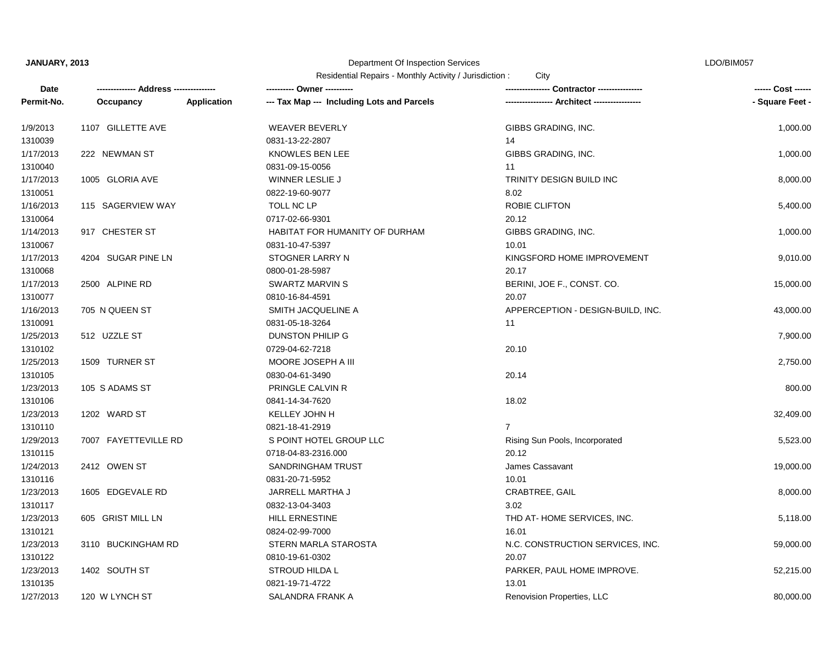## Department Of Inspection Services

LDO/BIM057

Residential Repairs - Monthly Activity / Jurisdiction : City

| <b>Date</b> |                      |                    | --------- Owner ----------                 |                                             | ------ Cost ------ |
|-------------|----------------------|--------------------|--------------------------------------------|---------------------------------------------|--------------------|
| Permit-No.  | Occupancy            | <b>Application</b> | --- Tax Map --- Including Lots and Parcels | ---------------- Architect ---------------- | - Square Feet -    |
| 1/9/2013    | 1107 GILLETTE AVE    |                    | <b>WEAVER BEVERLY</b>                      | GIBBS GRADING, INC.                         | 1,000.00           |
| 1310039     |                      |                    | 0831-13-22-2807                            | 14                                          |                    |
| 1/17/2013   | 222 NEWMAN ST        |                    | KNOWLES BEN LEE                            | GIBBS GRADING, INC.                         | 1,000.00           |
| 1310040     |                      |                    | 0831-09-15-0056                            | 11                                          |                    |
| 1/17/2013   | 1005 GLORIA AVE      |                    | WINNER LESLIE J                            | <b>TRINITY DESIGN BUILD INC</b>             | 8,000.00           |
| 1310051     |                      |                    | 0822-19-60-9077                            | 8.02                                        |                    |
| 1/16/2013   | 115 SAGERVIEW WAY    |                    | TOLL NC LP                                 | ROBIE CLIFTON                               | 5,400.00           |
| 1310064     |                      |                    | 0717-02-66-9301                            | 20.12                                       |                    |
| 1/14/2013   | 917 CHESTER ST       |                    | HABITAT FOR HUMANITY OF DURHAM             | GIBBS GRADING, INC.                         | 1,000.00           |
| 1310067     |                      |                    | 0831-10-47-5397                            | 10.01                                       |                    |
| 1/17/2013   | 4204 SUGAR PINE LN   |                    | STOGNER LARRY N                            | KINGSFORD HOME IMPROVEMENT                  | 9,010.00           |
| 1310068     |                      |                    | 0800-01-28-5987                            | 20.17                                       |                    |
| 1/17/2013   | 2500 ALPINE RD       |                    | <b>SWARTZ MARVIN S</b>                     | BERINI, JOE F., CONST. CO.                  | 15,000.00          |
| 1310077     |                      |                    | 0810-16-84-4591                            | 20.07                                       |                    |
| 1/16/2013   | 705 N QUEEN ST       |                    | SMITH JACQUELINE A                         | APPERCEPTION - DESIGN-BUILD, INC.           | 43,000.00          |
| 1310091     |                      |                    | 0831-05-18-3264                            | 11                                          |                    |
| 1/25/2013   | 512 UZZLE ST         |                    | <b>DUNSTON PHILIP G</b>                    |                                             | 7,900.00           |
| 1310102     |                      |                    | 0729-04-62-7218                            | 20.10                                       |                    |
| 1/25/2013   | 1509 TURNER ST       |                    | MOORE JOSEPH A III                         |                                             | 2,750.00           |
| 1310105     |                      |                    | 0830-04-61-3490                            | 20.14                                       |                    |
| 1/23/2013   | 105 S ADAMS ST       |                    | PRINGLE CALVIN R                           |                                             | 800.00             |
| 1310106     |                      |                    | 0841-14-34-7620                            | 18.02                                       |                    |
| 1/23/2013   | 1202 WARD ST         |                    | KELLEY JOHN H                              |                                             | 32,409.00          |
| 1310110     |                      |                    | 0821-18-41-2919                            | $\overline{7}$                              |                    |
| 1/29/2013   | 7007 FAYETTEVILLE RD |                    | S POINT HOTEL GROUP LLC                    | Rising Sun Pools, Incorporated              | 5,523.00           |
| 1310115     |                      |                    | 0718-04-83-2316.000                        | 20.12                                       |                    |
| 1/24/2013   | 2412 OWEN ST         |                    | <b>SANDRINGHAM TRUST</b>                   | James Cassavant                             | 19,000.00          |
| 1310116     |                      |                    | 0831-20-71-5952                            | 10.01                                       |                    |
| 1/23/2013   | 1605 EDGEVALE RD     |                    | JARRELL MARTHA J                           | CRABTREE, GAIL                              | 8,000.00           |
| 1310117     |                      |                    | 0832-13-04-3403                            | 3.02                                        |                    |
| 1/23/2013   | 605 GRIST MILL LN    |                    | <b>HILL ERNESTINE</b>                      | THD AT-HOME SERVICES, INC.                  | 5,118.00           |
| 1310121     |                      |                    | 0824-02-99-7000                            | 16.01                                       |                    |
| 1/23/2013   | 3110 BUCKINGHAM RD   |                    | STERN MARLA STAROSTA                       | N.C. CONSTRUCTION SERVICES, INC.            | 59,000.00          |
| 1310122     |                      |                    | 0810-19-61-0302                            | 20.07                                       |                    |
| 1/23/2013   | 1402 SOUTH ST        |                    | STROUD HILDA L                             | PARKER, PAUL HOME IMPROVE.                  | 52,215.00          |
| 1310135     |                      |                    | 0821-19-71-4722                            | 13.01                                       |                    |
| 1/27/2013   | 120 W LYNCH ST       |                    | SALANDRA FRANK A                           | Renovision Properties, LLC                  | 80,000.00          |